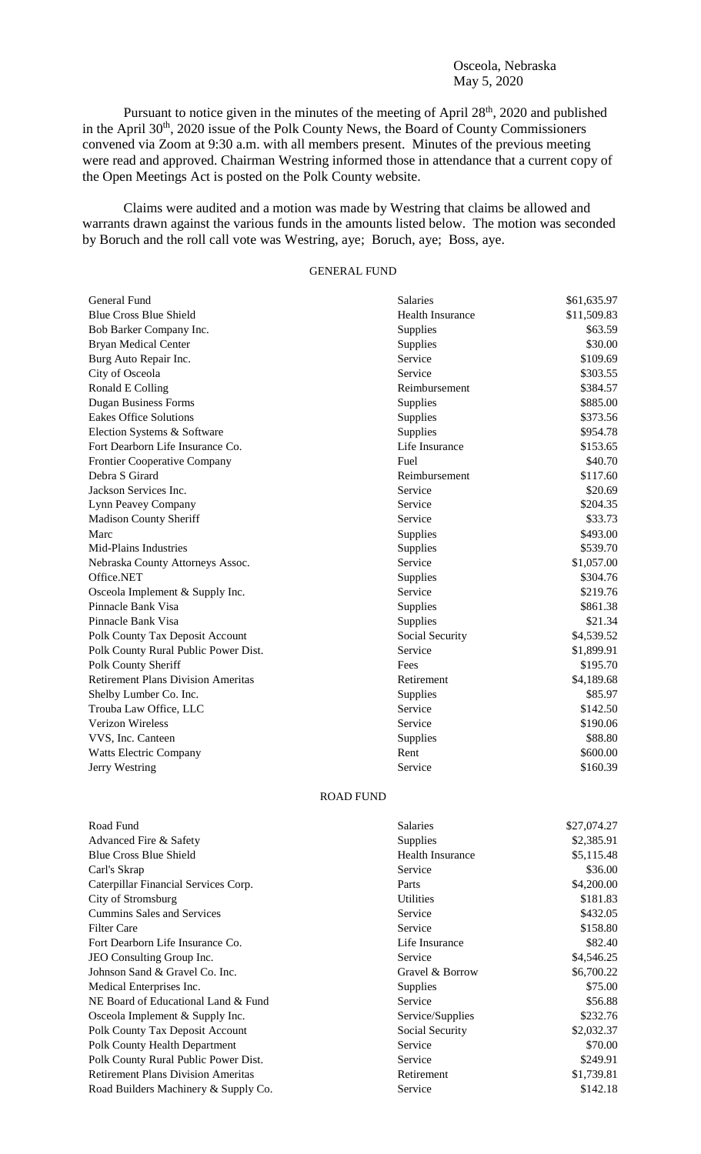## Osceola, Nebraska May 5, 2020

Pursuant to notice given in the minutes of the meeting of April 28<sup>th</sup>, 2020 and published in the April 30<sup>th</sup>, 2020 issue of the Polk County News, the Board of County Commissioners convened via Zoom at 9:30 a.m. with all members present. Minutes of the previous meeting were read and approved. Chairman Westring informed those in attendance that a current copy of the Open Meetings Act is posted on the Polk County website.

Claims were audited and a motion was made by Westring that claims be allowed and warrants drawn against the various funds in the amounts listed below. The motion was seconded by Boruch and the roll call vote was Westring, aye; Boruch, aye; Boss, aye.

## GENERAL FUND

| General Fund                              | Salaries                | \$61,635.97 |
|-------------------------------------------|-------------------------|-------------|
| <b>Blue Cross Blue Shield</b>             | <b>Health Insurance</b> | \$11,509.83 |
| Bob Barker Company Inc.                   | Supplies                | \$63.59     |
| <b>Bryan Medical Center</b>               | Supplies                | \$30.00     |
| Burg Auto Repair Inc.                     | Service                 | \$109.69    |
| City of Osceola                           | Service                 | \$303.55    |
| Ronald E Colling                          | Reimbursement           | \$384.57    |
| <b>Dugan Business Forms</b>               | Supplies                | \$885.00    |
| <b>Eakes Office Solutions</b>             | Supplies                | \$373.56    |
| Election Systems & Software               | Supplies                | \$954.78    |
| Fort Dearborn Life Insurance Co.          | Life Insurance          | \$153.65    |
| Frontier Cooperative Company              | Fuel                    | \$40.70     |
| Debra S Girard                            | Reimbursement           | \$117.60    |
| Jackson Services Inc.                     | Service                 | \$20.69     |
| Lynn Peavey Company                       | Service                 | \$204.35    |
| Madison County Sheriff                    | Service                 | \$33.73     |
| Marc                                      | Supplies                | \$493.00    |
| Mid-Plains Industries                     | Supplies                | \$539.70    |
| Nebraska County Attorneys Assoc.          | Service                 | \$1,057.00  |
| Office.NET                                | Supplies                | \$304.76    |
| Osceola Implement & Supply Inc.           | Service                 | \$219.76    |
| Pinnacle Bank Visa                        | Supplies                | \$861.38    |
| Pinnacle Bank Visa                        | Supplies                | \$21.34     |
| Polk County Tax Deposit Account           | Social Security         | \$4,539.52  |
| Polk County Rural Public Power Dist.      | Service                 | \$1,899.91  |
| Polk County Sheriff                       | Fees                    | \$195.70    |
| <b>Retirement Plans Division Ameritas</b> | Retirement              | \$4,189.68  |
| Shelby Lumber Co. Inc.                    | Supplies                | \$85.97     |
| Trouba Law Office, LLC                    | Service                 | \$142.50    |
| Verizon Wireless                          | Service                 | \$190.06    |
| VVS, Inc. Canteen                         | Supplies                | \$88.80     |
| <b>Watts Electric Company</b>             | Rent                    | \$600.00    |
| Jerry Westring                            | Service                 | \$160.39    |
|                                           | <b>ROAD FUND</b>        |             |
| Road Fund                                 | Salaries                | \$27,074.27 |
| Advanced Fire & Safety                    | Supplies                | \$2,385.91  |
| <b>Blue Cross Blue Shield</b>             | <b>Health Insurance</b> | \$5,115.48  |
| Carl's Skrap                              | Service                 | \$36.00     |
| Caterpillar Financial Services Corp.      | Parts                   | \$4,200.00  |
| City of Stromsburg                        | <b>Utilities</b>        | \$181.83    |
| <b>Cummins Sales and Services</b>         | Service                 | \$432.05    |
| <b>Filter Care</b>                        | Service                 | \$158.80    |
| Fort Dearborn Life Insurance Co.          | Life Insurance          | \$82.40     |
| JEO Consulting Group Inc.                 | Service                 | \$4,546.25  |
| Johnson Sand & Gravel Co. Inc.            | Gravel & Borrow         | \$6,700.22  |
| Medical Enterprises Inc.                  | Supplies                | \$75.00     |
| NE Board of Educational Land & Fund       | Service                 | \$56.88     |
| Osceola Implement & Supply Inc.           | Service/Supplies        | \$232.76    |
|                                           |                         |             |

Polk County Tax Deposit Account Social Security \$2,032.37

Polk County Health Department Service \$70.00

Polk County Rural Public Power Dist. Service Service \$249.91

Retirement Plans Division Ameritas **Retirement** 81,739.81 Road Builders Machinery & Supply Co. Service Service \$142.18